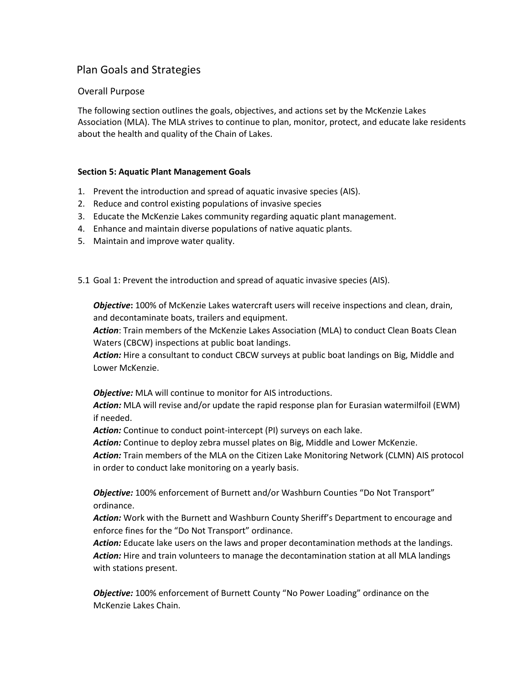# Plan Goals and Strategies

### Overall Purpose

The following section outlines the goals, objectives, and actions set by the McKenzie Lakes Association (MLA). The MLA strives to continue to plan, monitor, protect, and educate lake residents about the health and quality of the Chain of Lakes.

#### **Section 5: Aquatic Plant Management Goals**

- 1. Prevent the introduction and spread of aquatic invasive species (AIS).
- 2. Reduce and control existing populations of invasive species
- 3. Educate the McKenzie Lakes community regarding aquatic plant management.
- 4. Enhance and maintain diverse populations of native aquatic plants.
- 5. Maintain and improve water quality.
- 5.1 Goal 1: Prevent the introduction and spread of aquatic invasive species (AIS).

*Objective***:** 100% of McKenzie Lakes watercraft users will receive inspections and clean, drain, and decontaminate boats, trailers and equipment.

*Action*: Train members of the McKenzie Lakes Association (MLA) to conduct Clean Boats Clean Waters (CBCW) inspections at public boat landings.

Action: Hire a consultant to conduct CBCW surveys at public boat landings on Big, Middle and Lower McKenzie.

*Objective:* MLA will continue to monitor for AIS introductions.

*Action:* MLA will revise and/or update the rapid response plan for Eurasian watermilfoil (EWM) if needed.

*Action:* Continue to conduct point-intercept (PI) surveys on each lake.

*Action:* Continue to deploy zebra mussel plates on Big, Middle and Lower McKenzie.

*Action:* Train members of the MLA on the Citizen Lake Monitoring Network (CLMN) AIS protocol in order to conduct lake monitoring on a yearly basis.

*Objective:* 100% enforcement of Burnett and/or Washburn Counties "Do Not Transport" ordinance.

*Action:* Work with the Burnett and Washburn County Sheriff's Department to encourage and enforce fines for the "Do Not Transport" ordinance.

*Action:* Educate lake users on the laws and proper decontamination methods at the landings. *Action:* Hire and train volunteers to manage the decontamination station at all MLA landings with stations present.

*Objective:* 100% enforcement of Burnett County "No Power Loading" ordinance on the McKenzie Lakes Chain.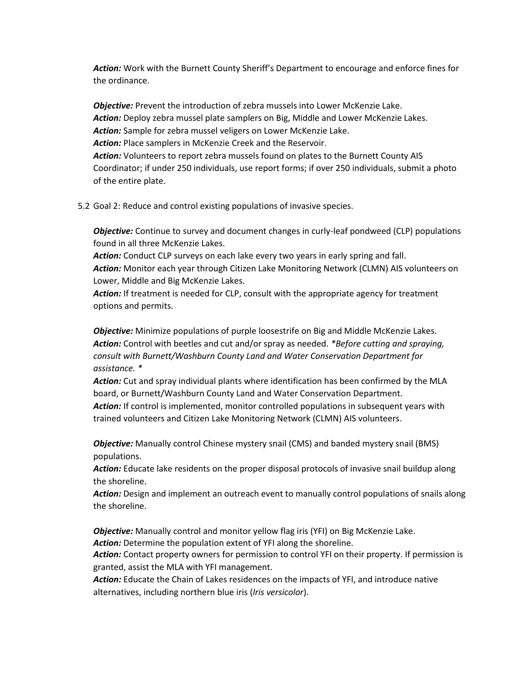*Action:* Work with the Burnett County Sheriff's Department to encourage and enforce fines for the ordinance.

*Objective:* Prevent the introduction of zebra mussels into Lower McKenzie Lake. *Action:* Deploy zebra mussel plate samplers on Big, Middle and Lower McKenzie Lakes. *Action:* Sample for zebra mussel veligers on Lower McKenzie Lake. *Action:* Place samplers in McKenzie Creek and the Reservoir. *Action:* Volunteers to report zebra mussels found on plates to the Burnett County AIS Coordinator; if under 250 individuals, use report forms; if over 250 individuals, submit a photo of the entire plate.

5.2 Goal 2: Reduce and control existing populations of invasive species.

*Objective:* Continue to survey and document changes in curly-leaf pondweed (CLP) populations found in all three McKenzie Lakes.

Action: Conduct CLP surveys on each lake every two years in early spring and fall. *Action:* Monitor each year through Citizen Lake Monitoring Network (CLMN) AIS volunteers on Lower, Middle and Big McKenzie Lakes.

Action: If treatment is needed for CLP, consult with the appropriate agency for treatment options and permits.

*Objective:* Minimize populations of purple loosestrife on Big and Middle McKenzie Lakes. *Action:* Control with beetles and cut and/or spray as needed. *\*Before cutting and spraying, consult with Burnett/Washburn County Land and Water Conservation Department for assistance. \**

*Action:* Cut and spray individual plants where identification has been confirmed by the MLA board, or Burnett/Washburn County Land and Water Conservation Department.

Action: If control is implemented, monitor controlled populations in subsequent years with trained volunteers and Citizen Lake Monitoring Network (CLMN) AIS volunteers.

*Objective:* Manually control Chinese mystery snail (CMS) and banded mystery snail (BMS) populations.

*Action:* Educate lake residents on the proper disposal protocols of invasive snail buildup along the shoreline.

*Action:* Design and implement an outreach event to manually control populations of snails along the shoreline.

*Objective:* Manually control and monitor yellow flag iris (YFI) on Big McKenzie Lake. *Action:* Determine the population extent of YFI along the shoreline.

*Action:* Contact property owners for permission to control YFI on their property. If permission is granted, assist the MLA with YFI management.

*Action:* Educate the Chain of Lakes residences on the impacts of YFI, and introduce native alternatives, including northern blue iris (*Iris versicolor*).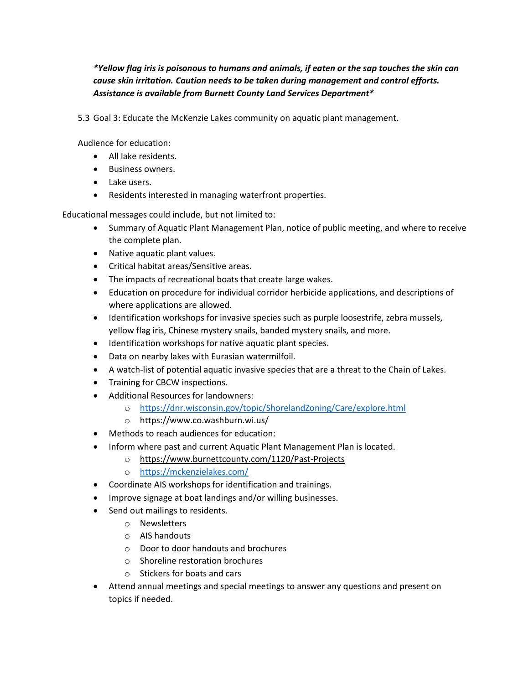*\*Yellow flag iris is poisonous to humans and animals, if eaten or the sap touches the skin can cause skin irritation. Caution needs to be taken during management and control efforts. Assistance is available from Burnett County Land Services Department\**

5.3 Goal 3: Educate the McKenzie Lakes community on aquatic plant management.

Audience for education:

- All lake residents.
- **•** Business owners.
- Lake users.
- Residents interested in managing waterfront properties.

Educational messages could include, but not limited to:

- Summary of Aquatic Plant Management Plan, notice of public meeting, and where to receive the complete plan.
- Native aquatic plant values.
- Critical habitat areas/Sensitive areas.
- The impacts of recreational boats that create large wakes.
- Education on procedure for individual corridor herbicide applications, and descriptions of where applications are allowed.
- Identification workshops for invasive species such as purple loosestrife, zebra mussels, yellow flag iris, Chinese mystery snails, banded mystery snails, and more.
- Identification workshops for native aquatic plant species.
- Data on nearby lakes with Eurasian watermilfoil.
- A watch-list of potential aquatic invasive species that are a threat to the Chain of Lakes.
- Training for CBCW inspections.
- Additional Resources for landowners:
	- o <https://dnr.wisconsin.gov/topic/ShorelandZoning/Care/explore.html>
	- o https://www.co.washburn.wi.us/
- Methods to reach audiences for education:
- Inform where past and current Aquatic Plant Management Plan is located.
	- o <https://www.burnettcounty.com/1120/Past-Projects>
	- o <https://mckenzielakes.com/>
- Coordinate AIS workshops for identification and trainings.
- Improve signage at boat landings and/or willing businesses.
- Send out mailings to residents.
	- o Newsletters
	- o AIS handouts
	- o Door to door handouts and brochures
	- o Shoreline restoration brochures
	- o Stickers for boats and cars
- Attend annual meetings and special meetings to answer any questions and present on topics if needed.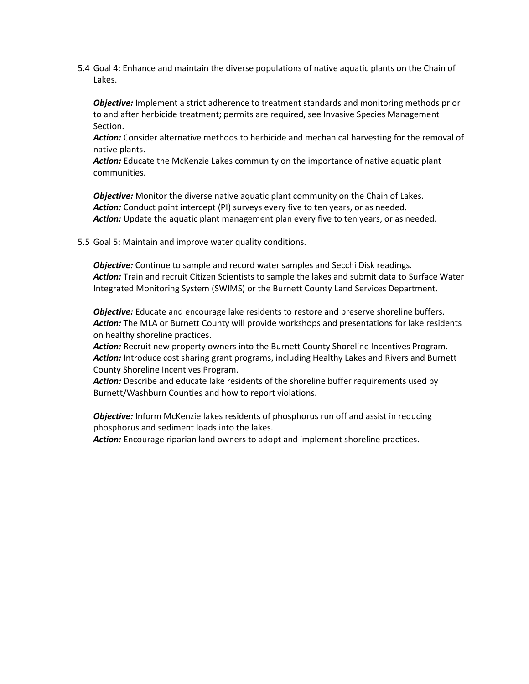5.4 Goal 4: Enhance and maintain the diverse populations of native aquatic plants on the Chain of Lakes.

*Objective:* Implement a strict adherence to treatment standards and monitoring methods prior to and after herbicide treatment; permits are required, see Invasive Species Management Section.

*Action:* Consider alternative methods to herbicide and mechanical harvesting for the removal of native plants.

*Action:* Educate the McKenzie Lakes community on the importance of native aquatic plant communities.

*Objective:* Monitor the diverse native aquatic plant community on the Chain of Lakes. *Action:* Conduct point intercept (PI) surveys every five to ten years, or as needed. Action: Update the aquatic plant management plan every five to ten years, or as needed.

5.5 Goal 5: Maintain and improve water quality conditions.

*Objective:* Continue to sample and record water samples and Secchi Disk readings. *Action:* Train and recruit Citizen Scientists to sample the lakes and submit data to Surface Water Integrated Monitoring System (SWIMS) or the Burnett County Land Services Department.

*Objective:* Educate and encourage lake residents to restore and preserve shoreline buffers. *Action:* The MLA or Burnett County will provide workshops and presentations for lake residents on healthy shoreline practices.

*Action:* Recruit new property owners into the Burnett County Shoreline Incentives Program. Action: Introduce cost sharing grant programs, including Healthy Lakes and Rivers and Burnett County Shoreline Incentives Program.

*Action:* Describe and educate lake residents of the shoreline buffer requirements used by Burnett/Washburn Counties and how to report violations.

*Objective:* Inform McKenzie lakes residents of phosphorus run off and assist in reducing phosphorus and sediment loads into the lakes.

*Action:* Encourage riparian land owners to adopt and implement shoreline practices.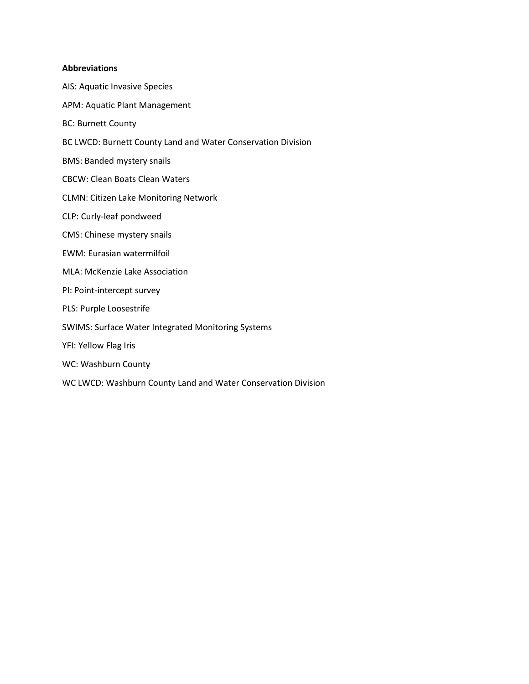#### **Abbreviations**

AIS: Aquatic Invasive Species APM: Aquatic Plant Management BC: Burnett County BC LWCD: Burnett County Land and Water Conservation Division BMS: Banded mystery snails CBCW: Clean Boats Clean Waters CLMN: Citizen Lake Monitoring Network CLP: Curly-leaf pondweed CMS: Chinese mystery snails EWM: Eurasian watermilfoil MLA: McKenzie Lake Association PI: Point-intercept survey PLS: Purple Loosestrife SWIMS: Surface Water Integrated Monitoring Systems YFI: Yellow Flag Iris WC: Washburn County WC LWCD: Washburn County Land and Water Conservation Division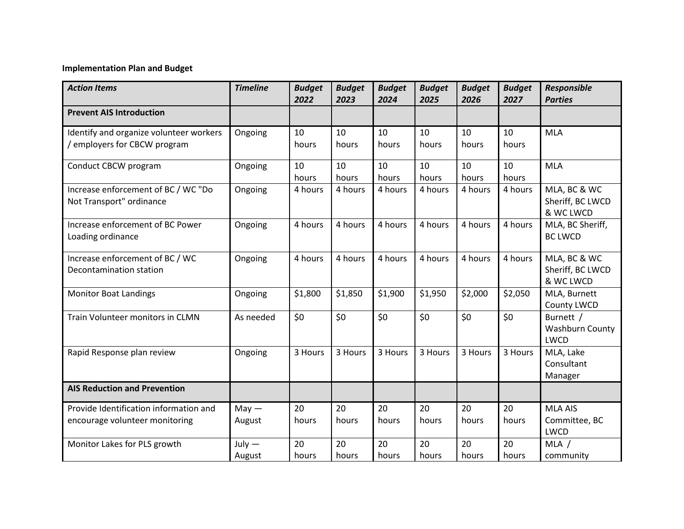## **Implementation Plan and Budget**

| <b>Action Items</b>                                                      | <b>Timeline</b>    | <b>Budget</b><br>2022 | <b>Budget</b><br>2023 | <b>Budget</b><br>2024 | <b>Budget</b><br>2025 | <b>Budget</b><br>2026 | <b>Budget</b><br>2027 | <b>Responsible</b><br><b>Parties</b>           |
|--------------------------------------------------------------------------|--------------------|-----------------------|-----------------------|-----------------------|-----------------------|-----------------------|-----------------------|------------------------------------------------|
| <b>Prevent AIS Introduction</b>                                          |                    |                       |                       |                       |                       |                       |                       |                                                |
| Identify and organize volunteer workers<br>employers for CBCW program    | Ongoing            | 10<br>hours           | 10<br>hours           | 10<br>hours           | 10<br>hours           | 10<br>hours           | 10<br>hours           | <b>MLA</b>                                     |
| Conduct CBCW program                                                     | Ongoing            | 10<br>hours           | 10<br>hours           | 10<br>hours           | 10<br>hours           | 10<br>hours           | 10<br>hours           | <b>MLA</b>                                     |
| Increase enforcement of BC / WC "Do<br>Not Transport" ordinance          | Ongoing            | 4 hours               | 4 hours               | 4 hours               | 4 hours               | 4 hours               | 4 hours               | MLA, BC & WC<br>Sheriff, BC LWCD<br>& WC LWCD  |
| Increase enforcement of BC Power<br>Loading ordinance                    | Ongoing            | 4 hours               | 4 hours               | 4 hours               | 4 hours               | 4 hours               | 4 hours               | MLA, BC Sheriff,<br><b>BC LWCD</b>             |
| Increase enforcement of BC / WC<br>Decontamination station               | Ongoing            | 4 hours               | 4 hours               | 4 hours               | 4 hours               | 4 hours               | 4 hours               | MLA, BC & WC<br>Sheriff, BC LWCD<br>& WC LWCD  |
| <b>Monitor Boat Landings</b>                                             | Ongoing            | \$1,800               | \$1,850               | \$1,900               | \$1,950               | \$2,000               | \$2,050               | MLA, Burnett<br><b>County LWCD</b>             |
| Train Volunteer monitors in CLMN                                         | As needed          | \$0                   | \$0                   | \$0                   | \$0                   | \$0                   | \$0                   | Burnett /<br><b>Washburn County</b><br>LWCD    |
| Rapid Response plan review                                               | Ongoing            | 3 Hours               | 3 Hours               | 3 Hours               | 3 Hours               | 3 Hours               | 3 Hours               | MLA, Lake<br>Consultant<br>Manager             |
| <b>AIS Reduction and Prevention</b>                                      |                    |                       |                       |                       |                       |                       |                       |                                                |
| Provide Identification information and<br>encourage volunteer monitoring | $May -$<br>August  | 20<br>hours           | 20<br>hours           | 20<br>hours           | 20<br>hours           | 20<br>hours           | 20<br>hours           | <b>MLA AIS</b><br>Committee, BC<br><b>LWCD</b> |
| Monitor Lakes for PLS growth                                             | $July -$<br>August | 20<br>hours           | 20<br>hours           | 20<br>hours           | 20<br>hours           | 20<br>hours           | 20<br>hours           | MLA /<br>community                             |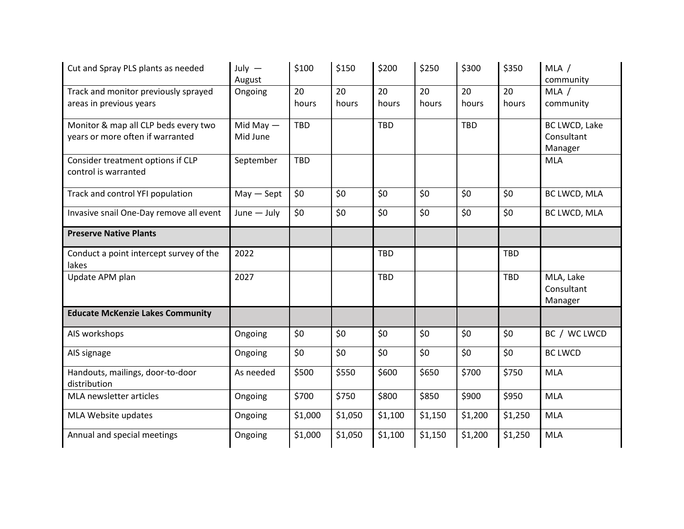| Cut and Spray PLS plants as needed      | July $-$      | \$100      | \$150   | \$200      | \$250   | \$300      | \$350      | MLA /          |
|-----------------------------------------|---------------|------------|---------|------------|---------|------------|------------|----------------|
|                                         | August        |            |         |            |         |            |            | community      |
| Track and monitor previously sprayed    | Ongoing       | 20         | 20      | 20         | 20      | 20         | 20         | MLA /          |
| areas in previous years                 |               | hours      | hours   | hours      | hours   | hours      | hours      | community      |
| Monitor & map all CLP beds every two    | Mid May $-$   | <b>TBD</b> |         | <b>TBD</b> |         | <b>TBD</b> |            | BC LWCD, Lake  |
| years or more often if warranted        | Mid June      |            |         |            |         |            |            | Consultant     |
|                                         |               |            |         |            |         |            |            | Manager        |
| Consider treatment options if CLP       | September     | <b>TBD</b> |         |            |         |            |            | <b>MLA</b>     |
| control is warranted                    |               |            |         |            |         |            |            |                |
| Track and control YFI population        | $May - Sept$  | \$0        | \$0     | \$0        | \$0     | \$0        | \$0        | BC LWCD, MLA   |
|                                         |               |            |         |            |         |            |            |                |
| Invasive snail One-Day remove all event | $June - July$ | \$0        | \$0     | \$0        | \$0     | \$0        | \$0        | BC LWCD, MLA   |
| <b>Preserve Native Plants</b>           |               |            |         |            |         |            |            |                |
| Conduct a point intercept survey of the | 2022          |            |         | <b>TBD</b> |         |            | <b>TBD</b> |                |
| lakes                                   |               |            |         |            |         |            |            |                |
| Update APM plan                         | 2027          |            |         | <b>TBD</b> |         |            | <b>TBD</b> | MLA, Lake      |
|                                         |               |            |         |            |         |            |            | Consultant     |
|                                         |               |            |         |            |         |            |            | Manager        |
| <b>Educate McKenzie Lakes Community</b> |               |            |         |            |         |            |            |                |
| AIS workshops                           | Ongoing       | \$0        | \$0     | \$0        | \$0     | \$0        | \$0        | BC / WC LWCD   |
| AIS signage                             | Ongoing       | \$0        | \$0     | \$0        | \$0     | \$0        | \$0        | <b>BC LWCD</b> |
| Handouts, mailings, door-to-door        | As needed     | \$500      | \$550   | \$600      | \$650   | \$700      | \$750      | <b>MLA</b>     |
| distribution                            |               |            |         |            |         |            |            |                |
| MLA newsletter articles                 | Ongoing       | \$700      | \$750   | \$800      | \$850   | \$900      | \$950      | <b>MLA</b>     |
| MLA Website updates                     | Ongoing       | \$1,000    | \$1,050 | \$1,100    | \$1,150 | \$1,200    | \$1,250    | <b>MLA</b>     |
| Annual and special meetings             | Ongoing       | \$1,000    | \$1,050 | \$1,100    | \$1,150 | \$1,200    | \$1,250    | <b>MLA</b>     |